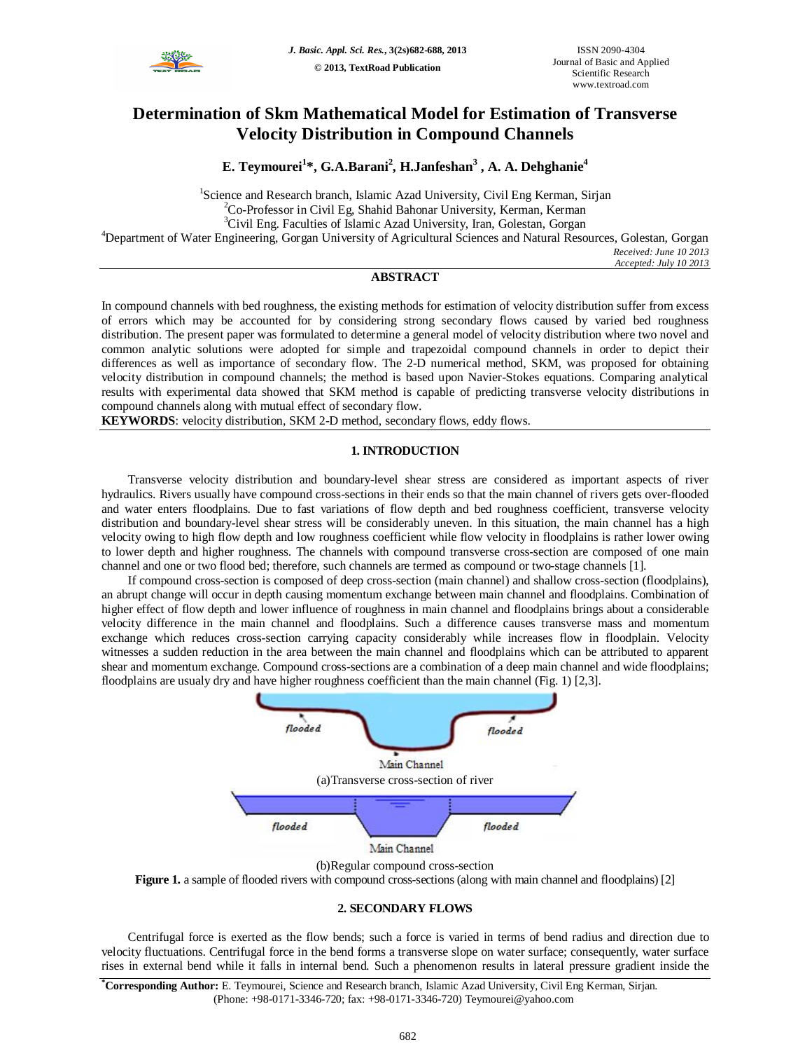

# **Determination of Skm Mathematical Model for Estimation of Transverse Velocity Distribution in Compound Channels**

**E. Teymourei<sup>1</sup> \*, G.A.Barani<sup>2</sup> , H.Janfeshan<sup>3</sup> , A. A. Dehghanie<sup>4</sup>**

<sup>1</sup>Science and Research branch, Islamic Azad University, Civil Eng Kerman, Sirjan <sup>2</sup>Co-Professor in Civil Eg, Shahid Bahonar University, Kerman, Kerman <sup>3</sup>Civil Eng. Faculties of Islamic Azad University, Iran, Golestan, Gorgan <sup>4</sup>Department of Water Engineering, Gorgan University of Agricultural Sciences and Natural Resources, Golestan, Gorgan *Received: June 10 2013 Accepted: July 10 2013*

## **ABSTRACT**

In compound channels with bed roughness, the existing methods for estimation of velocity distribution suffer from excess of errors which may be accounted for by considering strong secondary flows caused by varied bed roughness distribution. The present paper was formulated to determine a general model of velocity distribution where two novel and common analytic solutions were adopted for simple and trapezoidal compound channels in order to depict their differences as well as importance of secondary flow. The 2-D numerical method, SKM, was proposed for obtaining velocity distribution in compound channels; the method is based upon Navier-Stokes equations. Comparing analytical results with experimental data showed that SKM method is capable of predicting transverse velocity distributions in compound channels along with mutual effect of secondary flow.

**KEYWORDS**: velocity distribution, SKM 2-D method, secondary flows, eddy flows.

#### **1. INTRODUCTION**

Transverse velocity distribution and boundary-level shear stress are considered as important aspects of river hydraulics. Rivers usually have compound cross-sections in their ends so that the main channel of rivers gets over-flooded and water enters floodplains. Due to fast variations of flow depth and bed roughness coefficient, transverse velocity distribution and boundary-level shear stress will be considerably uneven. In this situation, the main channel has a high velocity owing to high flow depth and low roughness coefficient while flow velocity in floodplains is rather lower owing to lower depth and higher roughness. The channels with compound transverse cross-section are composed of one main channel and one or two flood bed; therefore, such channels are termed as compound or two-stage channels [1].

If compound cross-section is composed of deep cross-section (main channel) and shallow cross-section (floodplains), an abrupt change will occur in depth causing momentum exchange between main channel and floodplains. Combination of higher effect of flow depth and lower influence of roughness in main channel and floodplains brings about a considerable velocity difference in the main channel and floodplains. Such a difference causes transverse mass and momentum exchange which reduces cross-section carrying capacity considerably while increases flow in floodplain. Velocity witnesses a sudden reduction in the area between the main channel and floodplains which can be attributed to apparent shear and momentum exchange. Compound cross-sections are a combination of a deep main channel and wide floodplains; floodplains are usualy dry and have higher roughness coefficient than the main channel (Fig. 1) [2,3].



(b)Regular compound cross-section

Figure 1. a sample of flooded rivers with compound cross-sections (along with main channel and floodplains) [2]

### **2. SECONDARY FLOWS**

Centrifugal force is exerted as the flow bends; such a force is varied in terms of bend radius and direction due to velocity fluctuations. Centrifugal force in the bend forms a transverse slope on water surface; consequently, water surface rises in external bend while it falls in internal bend. Such a phenomenon results in lateral pressure gradient inside the

**\*Corresponding Author:** E. Teymourei, Science and Research branch, Islamic Azad University, Civil Eng Kerman, Sirjan. (Phone: +98-0171-3346-720; fax: +98-0171-3346-720) Teymourei@yahoo.com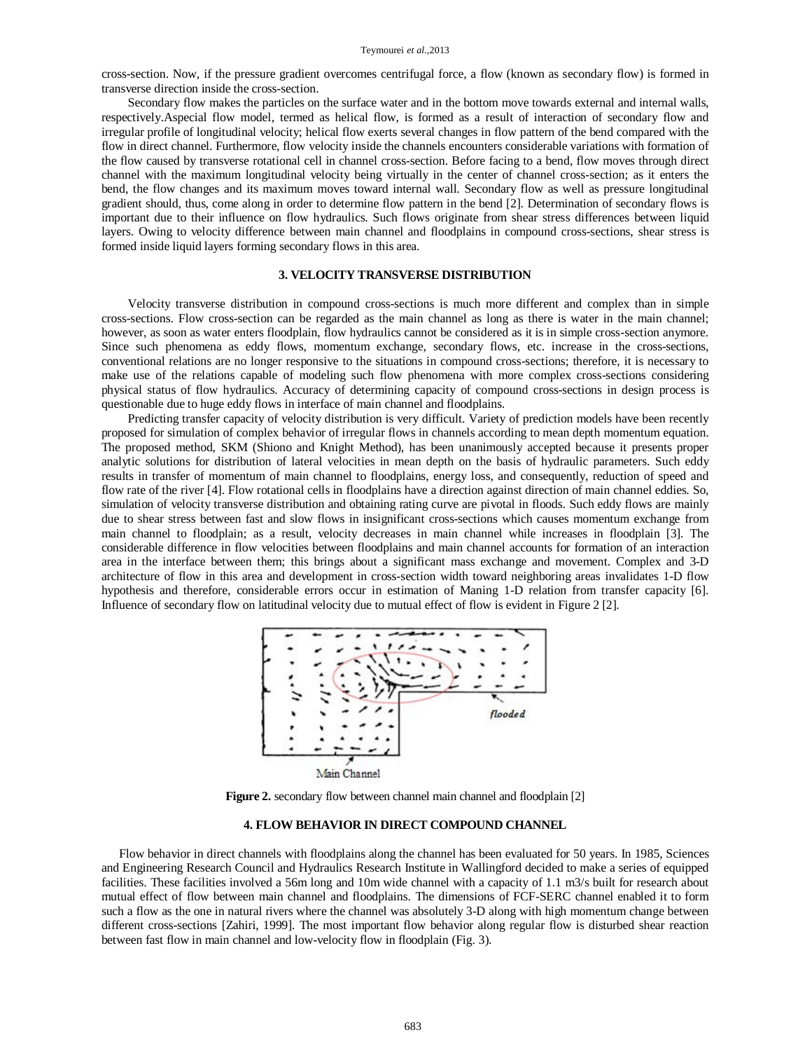cross-section. Now, if the pressure gradient overcomes centrifugal force, a flow (known as secondary flow) is formed in transverse direction inside the cross-section.

Secondary flow makes the particles on the surface water and in the bottom move towards external and internal walls, respectively.Aspecial flow model, termed as helical flow, is formed as a result of interaction of secondary flow and irregular profile of longitudinal velocity; helical flow exerts several changes in flow pattern of the bend compared with the flow in direct channel. Furthermore, flow velocity inside the channels encounters considerable variations with formation of the flow caused by transverse rotational cell in channel cross-section. Before facing to a bend, flow moves through direct channel with the maximum longitudinal velocity being virtually in the center of channel cross-section; as it enters the bend, the flow changes and its maximum moves toward internal wall. Secondary flow as well as pressure longitudinal gradient should, thus, come along in order to determine flow pattern in the bend [2]. Determination of secondary flows is important due to their influence on flow hydraulics. Such flows originate from shear stress differences between liquid layers. Owing to velocity difference between main channel and floodplains in compound cross-sections, shear stress is formed inside liquid layers forming secondary flows in this area.

#### **3. VELOCITY TRANSVERSE DISTRIBUTION**

Velocity transverse distribution in compound cross-sections is much more different and complex than in simple cross-sections. Flow cross-section can be regarded as the main channel as long as there is water in the main channel; however, as soon as water enters floodplain, flow hydraulics cannot be considered as it is in simple cross-section anymore. Since such phenomena as eddy flows, momentum exchange, secondary flows, etc. increase in the cross-sections, conventional relations are no longer responsive to the situations in compound cross-sections; therefore, it is necessary to make use of the relations capable of modeling such flow phenomena with more complex cross-sections considering physical status of flow hydraulics. Accuracy of determining capacity of compound cross-sections in design process is questionable due to huge eddy flows in interface of main channel and floodplains.

Predicting transfer capacity of velocity distribution is very difficult. Variety of prediction models have been recently proposed for simulation of complex behavior of irregular flows in channels according to mean depth momentum equation. The proposed method, SKM (Shiono and Knight Method), has been unanimously accepted because it presents proper analytic solutions for distribution of lateral velocities in mean depth on the basis of hydraulic parameters. Such eddy results in transfer of momentum of main channel to floodplains, energy loss, and consequently, reduction of speed and flow rate of the river [4]. Flow rotational cells in floodplains have a direction against direction of main channel eddies. So, simulation of velocity transverse distribution and obtaining rating curve are pivotal in floods. Such eddy flows are mainly due to shear stress between fast and slow flows in insignificant cross-sections which causes momentum exchange from main channel to floodplain; as a result, velocity decreases in main channel while increases in floodplain [3]. The considerable difference in flow velocities between floodplains and main channel accounts for formation of an interaction area in the interface between them; this brings about a significant mass exchange and movement. Complex and 3-D architecture of flow in this area and development in cross-section width toward neighboring areas invalidates 1-D flow hypothesis and therefore, considerable errors occur in estimation of Maning 1-D relation from transfer capacity [6]. Influence of secondary flow on latitudinal velocity due to mutual effect of flow is evident in Figure 2 [2].



Figure 2. secondary flow between channel main channel and floodplain [2]

## **4. FLOW BEHAVIOR IN DIRECT COMPOUND CHANNEL**

Flow behavior in direct channels with floodplains along the channel has been evaluated for 50 years. In 1985, Sciences and Engineering Research Council and Hydraulics Research Institute in Wallingford decided to make a series of equipped facilities. These facilities involved a 56m long and 10m wide channel with a capacity of 1.1 m3/s built for research about mutual effect of flow between main channel and floodplains. The dimensions of FCF-SERC channel enabled it to form such a flow as the one in natural rivers where the channel was absolutely 3-D along with high momentum change between different cross-sections [Zahiri, 1999]. The most important flow behavior along regular flow is disturbed shear reaction between fast flow in main channel and low-velocity flow in floodplain (Fig. 3).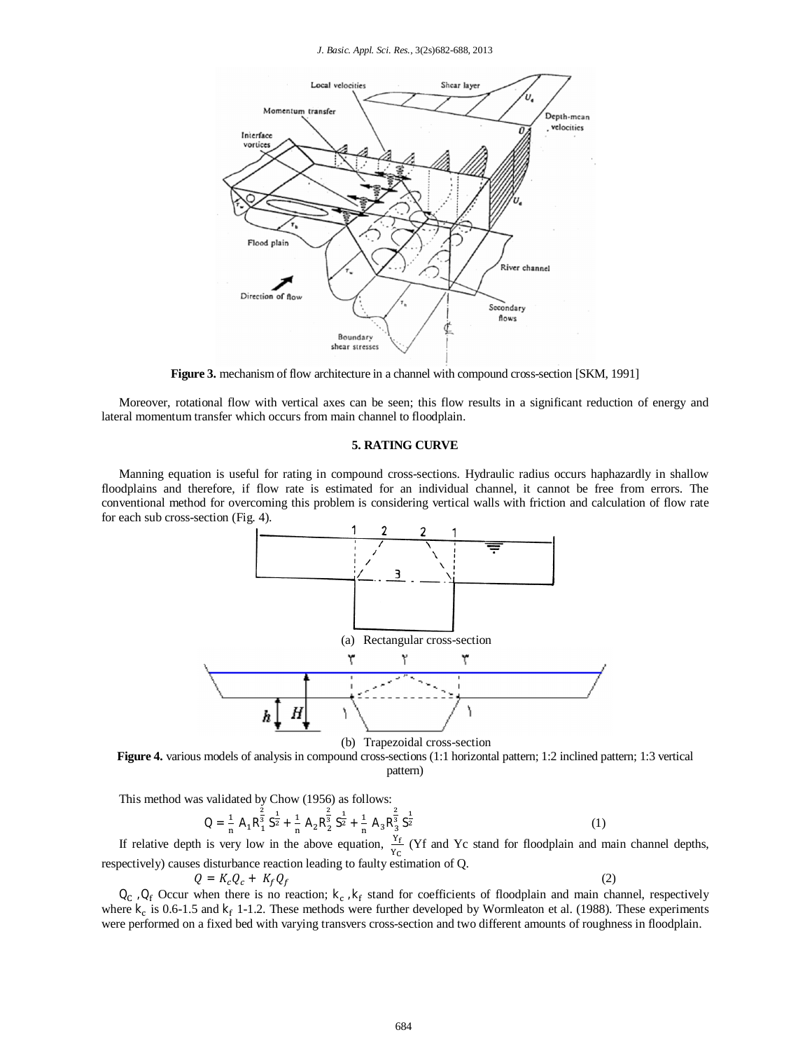*J. Basic. Appl. Sci. Res.*, 3(2s)682-688, 2013



**Figure 3.** mechanism of flow architecture in a channel with compound cross-section [SKM, 1991]

Moreover, rotational flow with vertical axes can be seen; this flow results in a significant reduction of energy and lateral momentum transfer which occurs from main channel to floodplain.

## **5. RATING CURVE**

Manning equation is useful for rating in compound cross-sections. Hydraulic radius occurs haphazardly in shallow floodplains and therefore, if flow rate is estimated for an individual channel, it cannot be free from errors. The conventional method for overcoming this problem is considering vertical walls with friction and calculation of flow rate for each sub cross-section (Fig. 4).



(b) Trapezoidal cross-section

**Figure 4.** various models of analysis in compound cross-sections (1:1 horizontal pattern; 1:2 inclined pattern; 1:3 vertical pattern)

This method was validated by Chow (1956) as follows:

$$
Q = \frac{1}{n} A_1 R_1^{\frac{2}{3}} S_2^{\frac{1}{2}} + \frac{1}{n} A_2 R_2^{\frac{2}{3}} S_2^{\frac{1}{2}} + \frac{1}{n} A_3 R_3^{\frac{2}{3}} S_2^{\frac{1}{2}}
$$
(1)

If relative depth is very low in the above equation,  $\frac{V_f}{Y_C}$  (Yf and Yc stand for floodplain and main channel depths, respectively) causes disturbance reaction leading to faulty estimation of Q.

$$
Q = K_c Q_c + K_f Q_f \tag{2}
$$

 $Q_c$ ,  $Q_f$  Occur when there is no reaction;  $k_c$ ,  $k_f$  stand for coefficients of floodplain and main channel, respectively where  $k_c$  is 0.6-1.5 and  $k_f$  1-1.2. These methods were further developed by Wormleaton et al. (1988). These experiments were performed on a fixed bed with varying transvers cross-section and two different amounts of roughness in floodplain.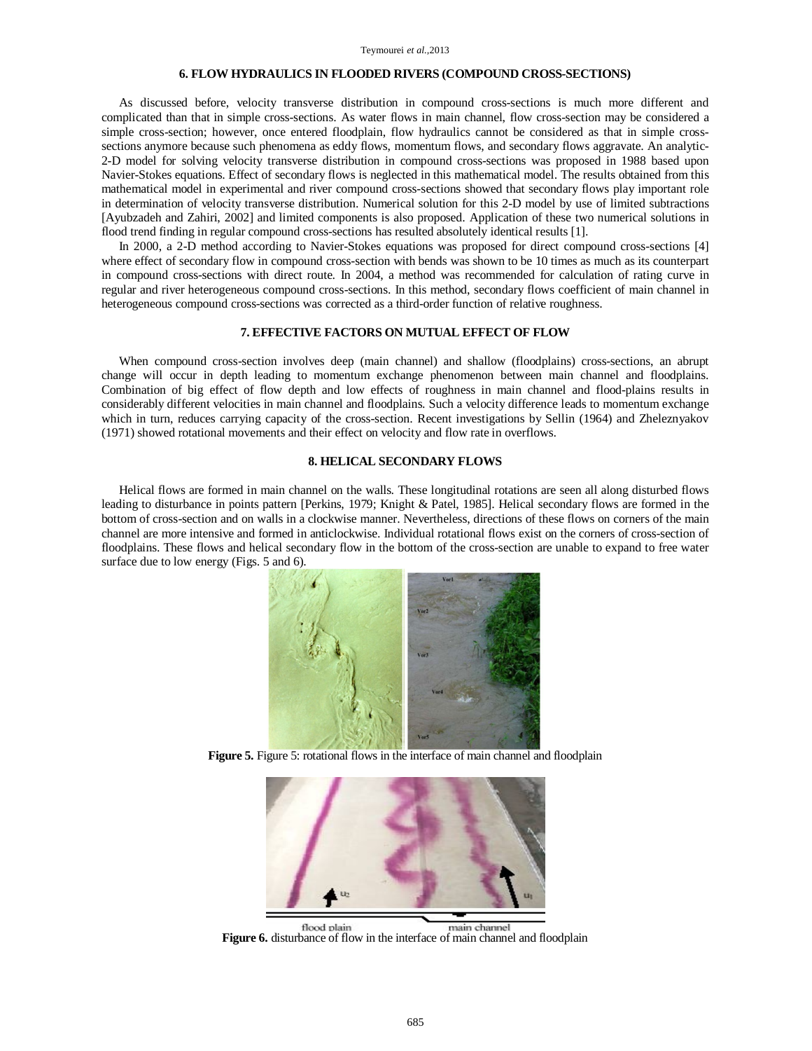## **6. FLOW HYDRAULICS IN FLOODED RIVERS (COMPOUND CROSS-SECTIONS)**

As discussed before, velocity transverse distribution in compound cross-sections is much more different and complicated than that in simple cross-sections. As water flows in main channel, flow cross-section may be considered a simple cross-section; however, once entered floodplain, flow hydraulics cannot be considered as that in simple crosssections anymore because such phenomena as eddy flows, momentum flows, and secondary flows aggravate. An analytic-2-D model for solving velocity transverse distribution in compound cross-sections was proposed in 1988 based upon Navier-Stokes equations. Effect of secondary flows is neglected in this mathematical model. The results obtained from this mathematical model in experimental and river compound cross-sections showed that secondary flows play important role in determination of velocity transverse distribution. Numerical solution for this 2-D model by use of limited subtractions [Ayubzadeh and Zahiri, 2002] and limited components is also proposed. Application of these two numerical solutions in flood trend finding in regular compound cross-sections has resulted absolutely identical results [1].

In 2000, a 2-D method according to Navier-Stokes equations was proposed for direct compound cross-sections [4] where effect of secondary flow in compound cross-section with bends was shown to be 10 times as much as its counterpart in compound cross-sections with direct route. In 2004, a method was recommended for calculation of rating curve in regular and river heterogeneous compound cross-sections. In this method, secondary flows coefficient of main channel in heterogeneous compound cross-sections was corrected as a third-order function of relative roughness.

### **7. EFFECTIVE FACTORS ON MUTUAL EFFECT OF FLOW**

When compound cross-section involves deep (main channel) and shallow (floodplains) cross-sections, an abrupt change will occur in depth leading to momentum exchange phenomenon between main channel and floodplains. Combination of big effect of flow depth and low effects of roughness in main channel and flood-plains results in considerably different velocities in main channel and floodplains. Such a velocity difference leads to momentum exchange which in turn, reduces carrying capacity of the cross-section. Recent investigations by Sellin (1964) and Zheleznyakov (1971) showed rotational movements and their effect on velocity and flow rate in overflows.

#### **8. HELICAL SECONDARY FLOWS**

Helical flows are formed in main channel on the walls. These longitudinal rotations are seen all along disturbed flows leading to disturbance in points pattern [Perkins, 1979; Knight & Patel, 1985]. Helical secondary flows are formed in the bottom of cross-section and on walls in a clockwise manner. Nevertheless, directions of these flows on corners of the main channel are more intensive and formed in anticlockwise. Individual rotational flows exist on the corners of cross-section of floodplains. These flows and helical secondary flow in the bottom of the cross-section are unable to expand to free water surface due to low energy (Figs. 5 and 6).



**Figure 5.** Figure 5: rotational flows in the interface of main channel and floodplain



**Figure 6.** disturbance of flow in the interface of main channel and floodplain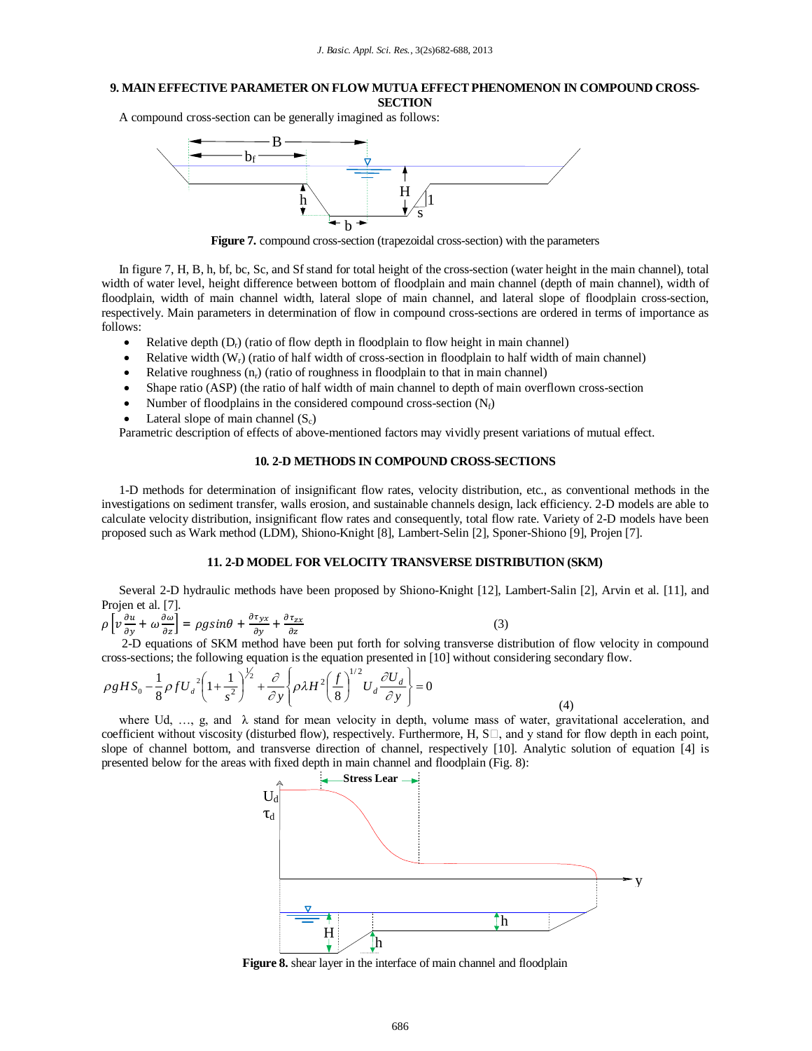## **9. MAIN EFFECTIVE PARAMETER ON FLOW MUTUA EFFECT PHENOMENON IN COMPOUND CROSS-**

**SECTION**

A compound cross-section can be generally imagined as follows:



**Figure 7.** compound cross-section (trapezoidal cross-section) with the parameters

In figure 7, H, B, h, bf, bc, Sc, and Sf stand for total height of the cross-section (water height in the main channel), total width of water level, height difference between bottom of floodplain and main channel (depth of main channel), width of floodplain, width of main channel width, lateral slope of main channel, and lateral slope of floodplain cross-section, respectively. Main parameters in determination of flow in compound cross-sections are ordered in terms of importance as follows:

- Relative depth  $(D_r)$  (ratio of flow depth in floodplain to flow height in main channel)
- Relative width  $(W_r)$  (ratio of half width of cross-section in floodplain to half width of main channel)
- Relative roughness  $(n_r)$  (ratio of roughness in floodplain to that in main channel)
- Shape ratio (ASP) (the ratio of half width of main channel to depth of main overflown cross-section
- Number of floodplains in the considered compound cross-section  $(N_f)$
- Lateral slope of main channel  $(S_c)$

Parametric description of effects of above-mentioned factors may vividly present variations of mutual effect.

### **10. 2-D METHODS IN COMPOUND CROSS-SECTIONS**

1-D methods for determination of insignificant flow rates, velocity distribution, etc., as conventional methods in the investigations on sediment transfer, walls erosion, and sustainable channels design, lack efficiency. 2-D models are able to calculate velocity distribution, insignificant flow rates and consequently, total flow rate. Variety of 2-D models have been proposed such as Wark method (LDM), Shiono-Knight [8], Lambert-Selin [2], Sponer-Shiono [9], Projen [7].

## **11. 2-D MODEL FOR VELOCITY TRANSVERSE DISTRIBUTION (SKM)**

Several 2-D hydraulic methods have been proposed by Shiono-Knight [12], Lambert-Salin [2], Arvin et al. [11], and Projen et al. [7].

$$
\rho \left[ v \frac{\partial u}{\partial y} + \omega \frac{\partial \omega}{\partial z} \right] = \rho g \sin \theta + \frac{\partial \tau_{yx}}{\partial y} + \frac{\partial \tau_{zx}}{\partial z}
$$

 $(3)$ 

2-D equations of SKM method have been put forth for solving transverse distribution of flow velocity in compound cross-sections; the following equation is the equation presented in [10] without considering secondary flow.

$$
\rho g H S_0 - \frac{1}{8} \rho f U_d^2 \left( 1 + \frac{1}{s^2} \right)^{\frac{1}{2}} + \frac{\partial}{\partial y} \left\{ \rho \lambda H^2 \left( \frac{f}{8} \right)^{1/2} U_d \frac{\partial U_d}{\partial y} \right\} = 0
$$
\n(4)

where Ud, ..., g, and  $\lambda$  stand for mean velocity in depth, volume mass of water, gravitational acceleration, and coefficient without viscosity (disturbed flow), respectively. Furthermore, H,  $S\Box$ , and y stand for flow depth in each point, slope of channel bottom, and transverse direction of channel, respectively [10]. Analytic solution of equation [4] is presented below for the areas with fixed depth in main channel and floodplain (Fig. 8):



**Figure 8.** shear layer in the interface of main channel and floodplain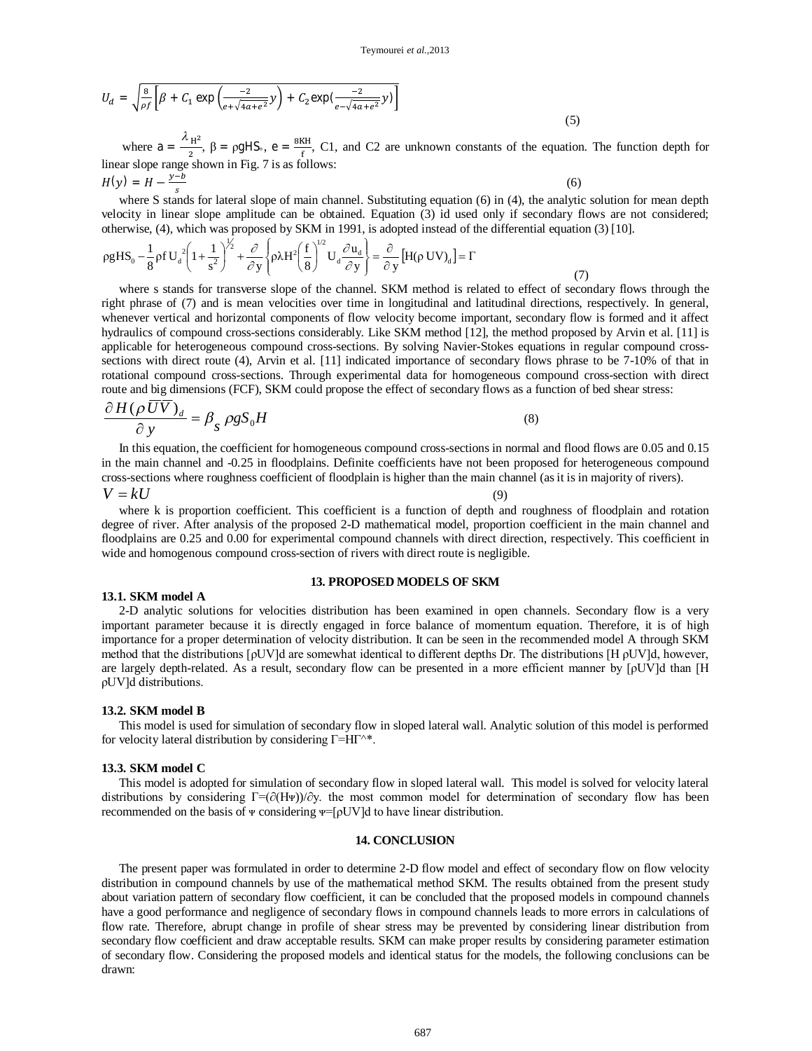$$
U_d = \sqrt{\frac{8}{\rho f} \left[ \beta + C_1 \exp\left(\frac{-2}{e + \sqrt{4a + e^2}} y\right) + C_2 \exp\left(\frac{-2}{e - \sqrt{4a + e^2}} y\right) \right]}
$$
(5)

where  $a = \frac{\lambda_{\text{H}^2}}{2}$  $\frac{H^2}{2}$ ,  $\beta = \rho g H S$ <sub>°</sub>,  $e = \frac{8KH}{f}$  $\frac{\Delta H}{f}$ , C1, and C2 are unknown constants of the equation. The function depth for linear slope range shown in Fig. 7 is as follows:

$$
H(y) = H - \frac{y - b}{s}
$$
 (6)

where S stands for lateral slope of main channel. Substituting equation (6) in (4), the analytic solution for mean depth  $\frac{1}{2}$ velocity in linear slope amplitude can be obtained. Equation (3) id used only if secondary flows are not considered; otherwise, (4), which was proposed by SKM in 1991, is adopted instead of the differential equation (3) [10].

$$
\rho g H S_0 - \frac{1}{8} \rho f U_d^2 \left( 1 + \frac{1}{s^2} \right)^{1/2} + \frac{\partial}{\partial y} \left\{ \rho \lambda H^2 \left( \frac{f}{8} \right)^{1/2} U_d \frac{\partial u_d}{\partial y} \right\} = \frac{\partial}{\partial y} \left[ H(\rho U V)_d \right] = \Gamma
$$
\n(7)

where s stands for transverse slope of the channel. SKM method is related to effect of secondary flows through the right phrase of (7) and is mean velocities over time in longitudinal and latitudinal directions, respectively. In general, whenever vertical and horizontal components of flow velocity become important, secondary flow is formed and it affect hydraulics of compound cross-sections considerably. Like SKM method [12], the method proposed by Arvin et al. [11] is applicable for heterogeneous compound cross-sections. By solving Navier-Stokes equations in regular compound crosssections with direct route (4), Arvin et al. [11] indicated importance of secondary flows phrase to be 7-10% of that in rotational compound cross-sections. Through experimental data for homogeneous compound cross-section with direct route and big dimensions (FCF), SKM could propose the effect of secondary flows as a function of bed shear stress:

$$
\frac{\partial H(\rho \, UV)}{\partial \, y} = \beta_g \, \rho g S_0 H \tag{8}
$$

In this equation, the coefficient for homogeneous compound cross-sections in normal and flood flows are 0.05 and 0.15 in the main channel and -0.25 in floodplains. Definite coefficients have not been proposed for heterogeneous compound cross-sections where roughness coefficient of floodplain is higher than the main channel (as it is in majority of rivers).

 $V = kU$  (9)

where k is proportion coefficient. This coefficient is a function of depth and roughness of floodplain and rotation degree of river. After analysis of the proposed 2-D mathematical model, proportion coefficient in the main channel and floodplains are 0.25 and 0.00 for experimental compound channels with direct direction, respectively. This coefficient in wide and homogenous compound cross-section of rivers with direct route is negligible.

#### **13. PROPOSED MODELS OF SKM**

2-D analytic solutions for velocities distribution has been examined in open channels. Secondary flow is a very important parameter because it is directly engaged in force balance of momentum equation. Therefore, it is of high importance for a proper determination of velocity distribution. It can be seen in the recommended model A through SKM method that the distributions [ρUV]d are somewhat identical to different depths Dr. The distributions [H ρUV]d, however, are largely depth-related. As a result, secondary flow can be presented in a more efficient manner by [ρUV]d than [H ρUV]d distributions.

#### **13.2. SKM model B**

**13.1. SKM model A**

This model is used for simulation of secondary flow in sloped lateral wall. Analytic solution of this model is performed for velocity lateral distribution by considering  $\Gamma = HI \^*$ .

#### **13.3. SKM model C**

This model is adopted for simulation of secondary flow in sloped lateral wall. This model is solved for velocity lateral distributions by considering Г=(∂(Hᴪ))/∂y. the most common model for determination of secondary flow has been recommended on the basis of  $\Psi$  considering  $\Psi = [\rho UV]$ d to have linear distribution.

#### **14. CONCLUSION**

The present paper was formulated in order to determine 2-D flow model and effect of secondary flow on flow velocity distribution in compound channels by use of the mathematical method SKM. The results obtained from the present study about variation pattern of secondary flow coefficient, it can be concluded that the proposed models in compound channels have a good performance and negligence of secondary flows in compound channels leads to more errors in calculations of flow rate. Therefore, abrupt change in profile of shear stress may be prevented by considering linear distribution from secondary flow coefficient and draw acceptable results. SKM can make proper results by considering parameter estimation of secondary flow. Considering the proposed models and identical status for the models, the following conclusions can be drawn: